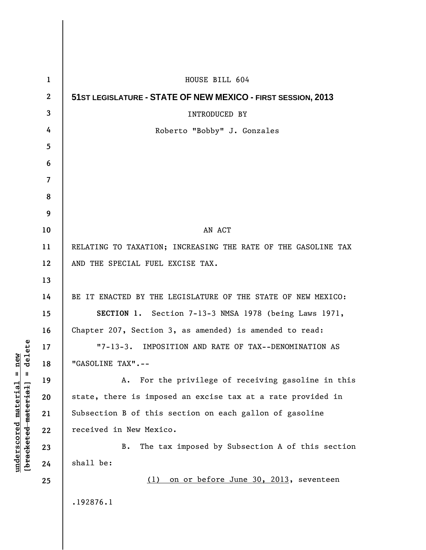| $\mathbf{1}$   | HOUSE BILL 604                                                |
|----------------|---------------------------------------------------------------|
| $\mathbf{2}$   | 51ST LEGISLATURE - STATE OF NEW MEXICO - FIRST SESSION, 2013  |
| 3              | <b>INTRODUCED BY</b>                                          |
| 4              | Roberto "Bobby" J. Gonzales                                   |
| 5              |                                                               |
| 6              |                                                               |
| $\overline{7}$ |                                                               |
| 8              |                                                               |
| 9              |                                                               |
| 10             | AN ACT                                                        |
| 11             | RELATING TO TAXATION; INCREASING THE RATE OF THE GASOLINE TAX |
| 12             | AND THE SPECIAL FUEL EXCISE TAX.                              |
| 13             |                                                               |
| 14             | BE IT ENACTED BY THE LEGISLATURE OF THE STATE OF NEW MEXICO:  |
| 15             | SECTION 1. Section 7-13-3 NMSA 1978 (being Laws 1971,         |
| 16             | Chapter 207, Section 3, as amended) is amended to read:       |
| 17             | "7-13-3. IMPOSITION AND RATE OF TAX--DENOMINATION AS          |
| 18             | "GASOLINE TAX".                                               |
| 19             | For the privilege of receiving gasoline in this<br>Α.         |
| 20             | state, there is imposed an excise tax at a rate provided in   |
| 21             | Subsection B of this section on each gallon of gasoline       |
| 22             | received in New Mexico.                                       |
| 23             | The tax imposed by Subsection A of this section<br>B.         |
| 24             | shall be:                                                     |
| 25             | on or before June 30, 2013, seventeen<br>(1)                  |
|                | .192876.1                                                     |
|                |                                                               |

**underscored material = new [bracketed material] = delete**

 $[bracketeed-materiat] = delete$  $underscored material = new$